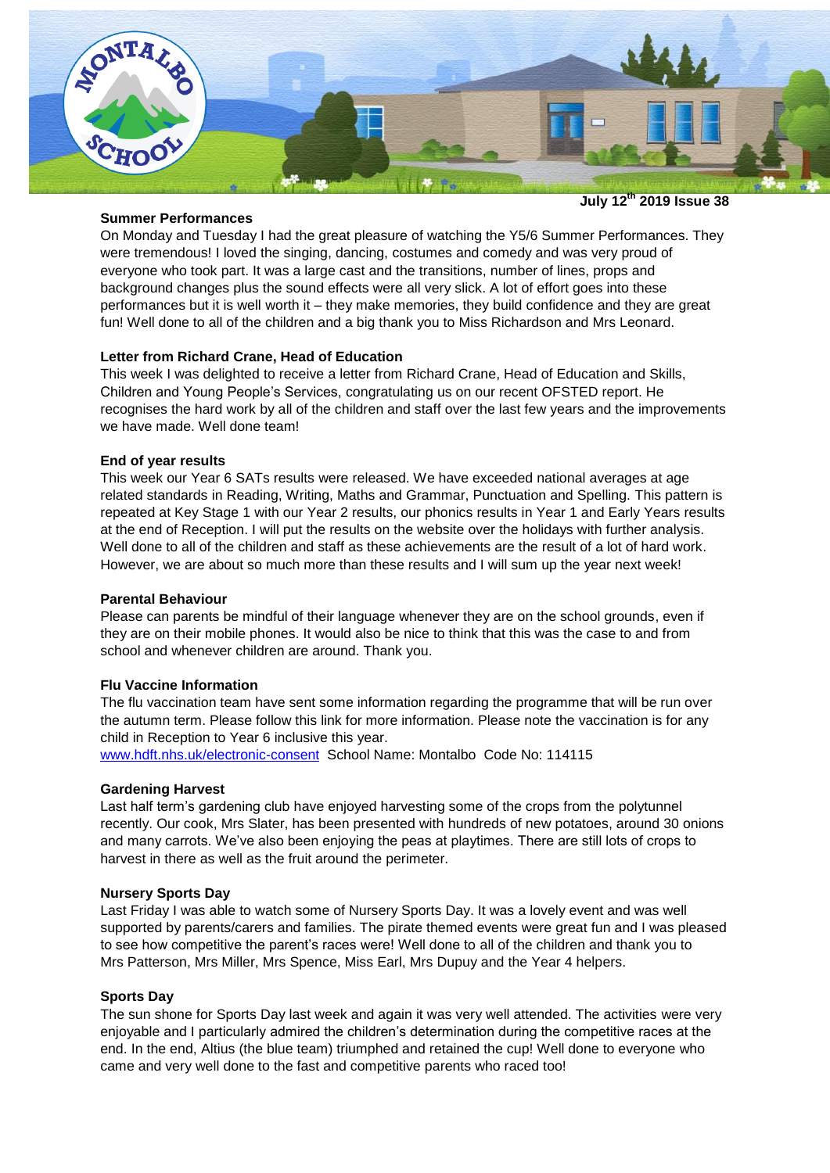

### **Summer Performances**

**July 12th 2019 Issue 38**

On Monday and Tuesday I had the great pleasure of watching the Y5/6 Summer Performances. They were tremendous! I loved the singing, dancing, costumes and comedy and was very proud of everyone who took part. It was a large cast and the transitions, number of lines, props and background changes plus the sound effects were all very slick. A lot of effort goes into these performances but it is well worth it – they make memories, they build confidence and they are great fun! Well done to all of the children and a big thank you to Miss Richardson and Mrs Leonard.

# **Letter from Richard Crane, Head of Education**

This week I was delighted to receive a letter from Richard Crane, Head of Education and Skills, Children and Young People's Services, congratulating us on our recent OFSTED report. He recognises the hard work by all of the children and staff over the last few years and the improvements we have made. Well done team!

# **End of year results**

This week our Year 6 SATs results were released. We have exceeded national averages at age related standards in Reading, Writing, Maths and Grammar, Punctuation and Spelling. This pattern is repeated at Key Stage 1 with our Year 2 results, our phonics results in Year 1 and Early Years results at the end of Reception. I will put the results on the website over the holidays with further analysis. Well done to all of the children and staff as these achievements are the result of a lot of hard work. However, we are about so much more than these results and I will sum up the year next week!

# **Parental Behaviour**

Please can parents be mindful of their language whenever they are on the school grounds, even if they are on their mobile phones. It would also be nice to think that this was the case to and from school and whenever children are around. Thank you.

# **Flu Vaccine Information**

The flu vaccination team have sent some information regarding the programme that will be run over the autumn term. Please follow this link for more information. Please note the vaccination is for any child in Reception to Year 6 inclusive this year.

[www.hdft.nhs.uk/electronic-consent](http://www.hdft.nhs.uk/electronic-consent) School Name: Montalbo Code No: 114115

# **Gardening Harvest**

Last half term's gardening club have enjoyed harvesting some of the crops from the polytunnel recently. Our cook, Mrs Slater, has been presented with hundreds of new potatoes, around 30 onions and many carrots. We've also been enjoying the peas at playtimes. There are still lots of crops to harvest in there as well as the fruit around the perimeter.

# **Nursery Sports Day**

Last Friday I was able to watch some of Nursery Sports Day. It was a lovely event and was well supported by parents/carers and families. The pirate themed events were great fun and I was pleased to see how competitive the parent's races were! Well done to all of the children and thank you to Mrs Patterson, Mrs Miller, Mrs Spence, Miss Earl, Mrs Dupuy and the Year 4 helpers.

# **Sports Day**

The sun shone for Sports Day last week and again it was very well attended. The activities were very enjoyable and I particularly admired the children's determination during the competitive races at the end. In the end, Altius (the blue team) triumphed and retained the cup! Well done to everyone who came and very well done to the fast and competitive parents who raced too!